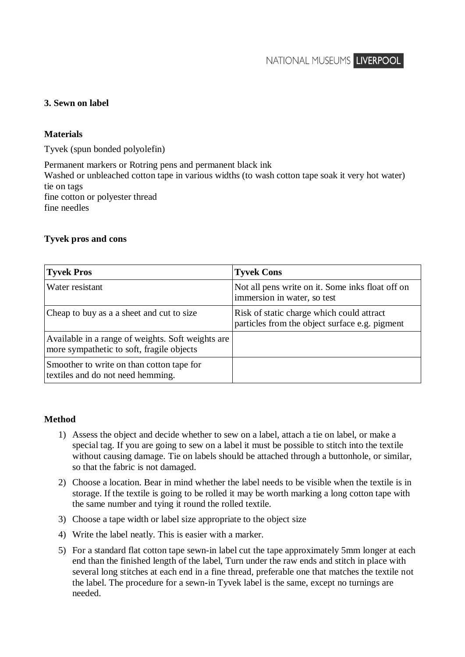## **3. Sewn on label**

## **Materials**

Tyvek (spun bonded polyolefin)

Permanent markers or Rotring pens and permanent black ink Washed or unbleached cotton tape in various widths (to wash cotton tape soak it very hot water) tie on tags fine cotton or polyester thread fine needles

## **Tyvek pros and cons**

| <b>Tyvek Pros</b>                                                                              | <b>Tyvek Cons</b>                                                                           |
|------------------------------------------------------------------------------------------------|---------------------------------------------------------------------------------------------|
| Water resistant                                                                                | Not all pens write on it. Some inks float off on<br>immersion in water, so test             |
| Cheap to buy as a a sheet and cut to size                                                      | Risk of static charge which could attract<br>particles from the object surface e.g. pigment |
| Available in a range of weights. Soft weights are<br>more sympathetic to soft, fragile objects |                                                                                             |
| Smoother to write on than cotton tape for<br>textiles and do not need hemming.                 |                                                                                             |

## **Method**

- 1) Assess the object and decide whether to sew on a label, attach a tie on label, or make a special tag. If you are going to sew on a label it must be possible to stitch into the textile without causing damage. Tie on labels should be attached through a buttonhole, or similar, so that the fabric is not damaged.
- 2) Choose a location. Bear in mind whether the label needs to be visible when the textile is in storage. If the textile is going to be rolled it may be worth marking a long cotton tape with the same number and tying it round the rolled textile.
- 3) Choose a tape width or label size appropriate to the object size
- 4) Write the label neatly. This is easier with a marker.
- 5) For a standard flat cotton tape sewn-in label cut the tape approximately 5mm longer at each end than the finished length of the label, Turn under the raw ends and stitch in place with several long stitches at each end in a fine thread, preferable one that matches the textile not the label. The procedure for a sewn-in Tyvek label is the same, except no turnings are needed.